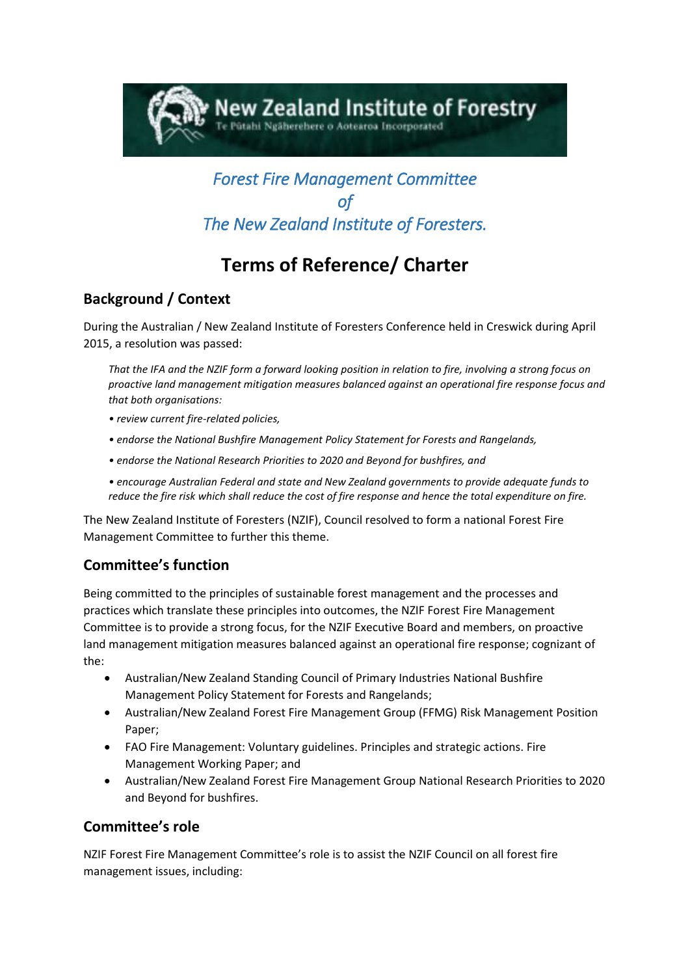

# *Forest Fire Management Committee of The New Zealand Institute of Foresters.*

# **Terms of Reference/ Charter**

## **Background / Context**

During the Australian / New Zealand Institute of Foresters Conference held in Creswick during April 2015, a resolution was passed:

*That the IFA and the NZIF form a forward looking position in relation to fire, involving a strong focus on proactive land management mitigation measures balanced against an operational fire response focus and that both organisations:*

- *review current fire-related policies,*
- *endorse the National Bushfire Management Policy Statement for Forests and Rangelands,*
- *endorse the National Research Priorities to 2020 and Beyond for bushfires, and*
- *encourage Australian Federal and state and New Zealand governments to provide adequate funds to reduce the fire risk which shall reduce the cost of fire response and hence the total expenditure on fire.*

The New Zealand Institute of Foresters (NZIF), Council resolved to form a national Forest Fire Management Committee to further this theme.

# **Committee's function**

Being committed to the principles of sustainable forest management and the processes and practices which translate these principles into outcomes, the NZIF Forest Fire Management Committee is to provide a strong focus, for the NZIF Executive Board and members, on proactive land management mitigation measures balanced against an operational fire response; cognizant of the:

- Australian/New Zealand Standing Council of Primary Industries National Bushfire Management Policy Statement for Forests and Rangelands;
- Australian/New Zealand Forest Fire Management Group (FFMG) Risk Management Position Paper;
- FAO Fire Management: Voluntary guidelines. Principles and strategic actions. Fire Management Working Paper; and
- Australian/New Zealand Forest Fire Management Group National Research Priorities to 2020 and Beyond for bushfires.

## **Committee's role**

NZIF Forest Fire Management Committee's role is to assist the NZIF Council on all forest fire management issues, including: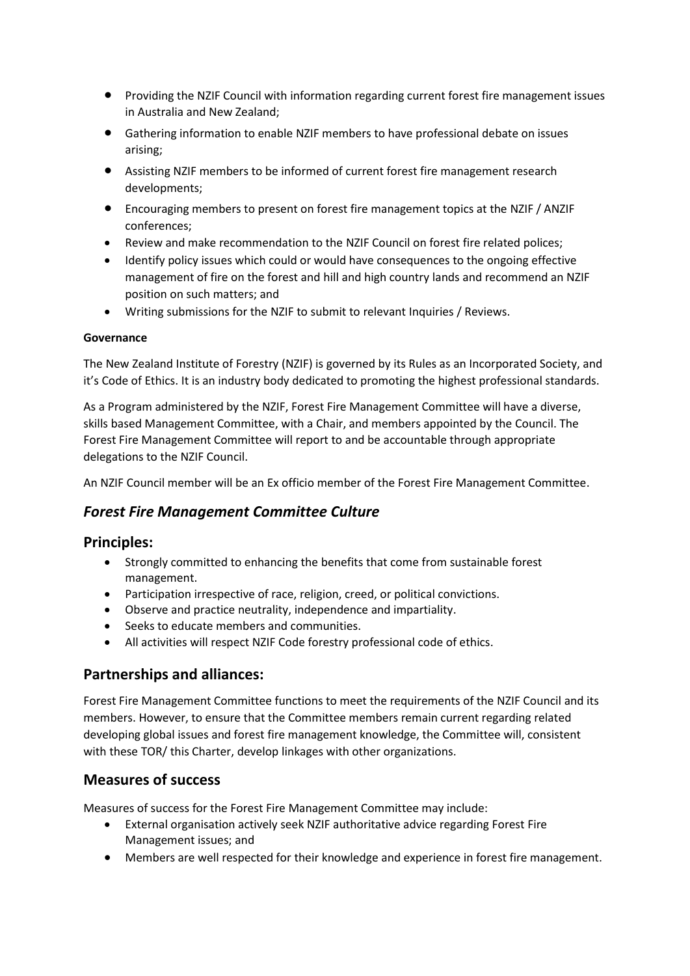- Providing the NZIF Council with information regarding current forest fire management issues in Australia and New Zealand;
- Gathering information to enable NZIF members to have professional debate on issues arising;
- Assisting NZIF members to be informed of current forest fire management research developments;
- Encouraging members to present on forest fire management topics at the NZIF / ANZIF conferences;
- Review and make recommendation to the NZIF Council on forest fire related polices;
- Identify policy issues which could or would have consequences to the ongoing effective management of fire on the forest and hill and high country lands and recommend an NZIF position on such matters; and
- Writing submissions for the NZIF to submit to relevant Inquiries / Reviews.

#### **Governance**

The New Zealand Institute of Forestry (NZIF) is governed by its [Rules](http://www.nzif.org.nz/Attachment?Action=Download&Attachment_id=1622) as an Incorporated Society, and it's [Code of Ethics.](http://www.nzif.org.nz/Attachment?Action=Download&Attachment_id=1512) It is an industry body dedicated to promoting the highest professional standards.

As a Program administered by the NZIF, Forest Fire Management Committee will have a diverse, skills based Management Committee, with a Chair, and members appointed by the Council. The Forest Fire Management Committee will report to and be accountable through appropriate delegations to the NZIF Council.

An NZIF Council member will be an Ex officio member of the Forest Fire Management Committee.

#### *Forest Fire Management Committee Culture*

#### **Principles:**

- Strongly committed to enhancing the benefits that come from sustainable forest management.
- Participation irrespective of race, religion, creed, or political convictions.
- Observe and practice neutrality, independence and impartiality.
- Seeks to educate members and communities.
- All activities will respect NZIF Code forestry professional code of ethics.

#### **Partnerships and alliances:**

Forest Fire Management Committee functions to meet the requirements of the NZIF Council and its members. However, to ensure that the Committee members remain current regarding related developing global issues and forest fire management knowledge, the Committee will, consistent with these TOR/ this Charter, develop linkages with other organizations.

#### **Measures of success**

Measures of success for the Forest Fire Management Committee may include:

- External organisation actively seek NZIF authoritative advice regarding Forest Fire Management issues; and
- Members are well respected for their knowledge and experience in forest fire management.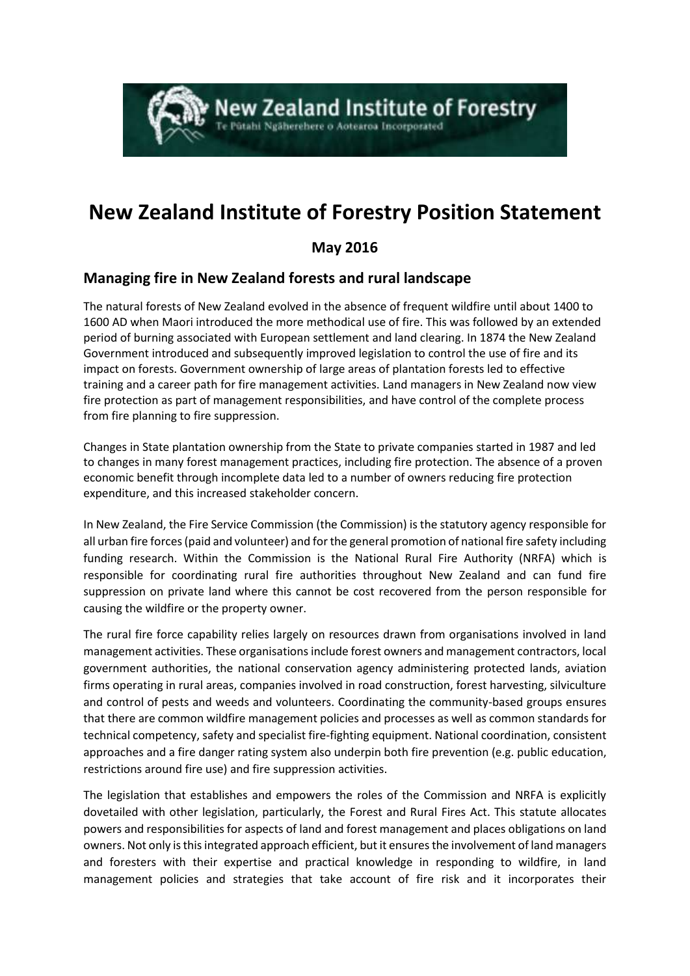# **New Zealand Institute of Forestry** itahi Ngäherehere o Aotearoa Incorporated

# **New Zealand Institute of Forestry Position Statement**

## **May 2016**

## **Managing fire in New Zealand forests and rural landscape**

The natural forests of New Zealand evolved in the absence of frequent wildfire until about 1400 to 1600 AD when Maori introduced the more methodical use of fire. This was followed by an extended period of burning associated with European settlement and land clearing. In 1874 the New Zealand Government introduced and subsequently improved legislation to control the use of fire and its impact on forests. Government ownership of large areas of plantation forests led to effective training and a career path for fire management activities. Land managers in New Zealand now view fire protection as part of management responsibilities, and have control of the complete process from fire planning to fire suppression.

Changes in State plantation ownership from the State to private companies started in 1987 and led to changes in many forest management practices, including fire protection. The absence of a proven economic benefit through incomplete data led to a number of owners reducing fire protection expenditure, and this increased stakeholder concern.

In New Zealand, the Fire Service Commission (the Commission) is the statutory agency responsible for all urban fire forces (paid and volunteer) and for the general promotion of national fire safety including funding research. Within the Commission is the National Rural Fire Authority (NRFA) which is responsible for coordinating rural fire authorities throughout New Zealand and can fund fire suppression on private land where this cannot be cost recovered from the person responsible for causing the wildfire or the property owner.

The rural fire force capability relies largely on resources drawn from organisations involved in land management activities. These organisations include forest owners and management contractors, local government authorities, the national conservation agency administering protected lands, aviation firms operating in rural areas, companies involved in road construction, forest harvesting, silviculture and control of pests and weeds and volunteers. Coordinating the community-based groups ensures that there are common wildfire management policies and processes as well as common standards for technical competency, safety and specialist fire-fighting equipment. National coordination, consistent approaches and a fire danger rating system also underpin both fire prevention (e.g. public education, restrictions around fire use) and fire suppression activities.

The legislation that establishes and empowers the roles of the Commission and NRFA is explicitly dovetailed with other legislation, particularly, the Forest and Rural Fires Act. This statute allocates powers and responsibilities for aspects of land and forest management and places obligations on land owners. Not only is this integrated approach efficient, but it ensures the involvement of land managers and foresters with their expertise and practical knowledge in responding to wildfire, in land management policies and strategies that take account of fire risk and it incorporates their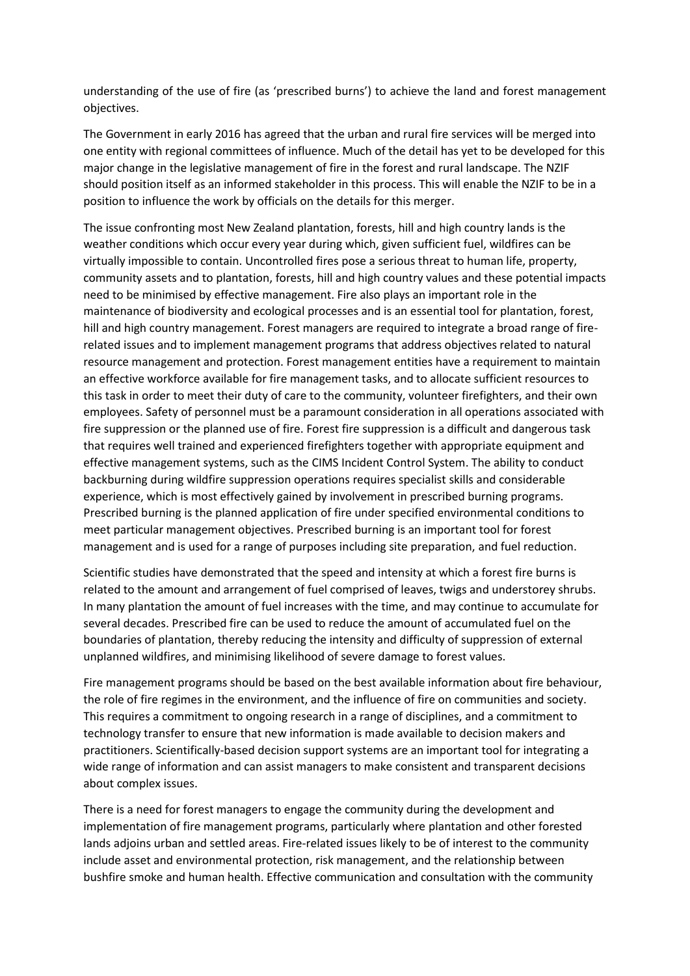understanding of the use of fire (as 'prescribed burns') to achieve the land and forest management objectives.

The Government in early 2016 has agreed that the urban and rural fire services will be merged into one entity with regional committees of influence. Much of the detail has yet to be developed for this major change in the legislative management of fire in the forest and rural landscape. The NZIF should position itself as an informed stakeholder in this process. This will enable the NZIF to be in a position to influence the work by officials on the details for this merger.

The issue confronting most New Zealand plantation, forests, hill and high country lands is the weather conditions which occur every year during which, given sufficient fuel, wildfires can be virtually impossible to contain. Uncontrolled fires pose a serious threat to human life, property, community assets and to plantation, forests, hill and high country values and these potential impacts need to be minimised by effective management. Fire also plays an important role in the maintenance of biodiversity and ecological processes and is an essential tool for plantation, forest, hill and high country management. Forest managers are required to integrate a broad range of firerelated issues and to implement management programs that address objectives related to natural resource management and protection. Forest management entities have a requirement to maintain an effective workforce available for fire management tasks, and to allocate sufficient resources to this task in order to meet their duty of care to the community, volunteer firefighters, and their own employees. Safety of personnel must be a paramount consideration in all operations associated with fire suppression or the planned use of fire. Forest fire suppression is a difficult and dangerous task that requires well trained and experienced firefighters together with appropriate equipment and effective management systems, such as the CIMS Incident Control System. The ability to conduct backburning during wildfire suppression operations requires specialist skills and considerable experience, which is most effectively gained by involvement in prescribed burning programs. Prescribed burning is the planned application of fire under specified environmental conditions to meet particular management objectives. Prescribed burning is an important tool for forest management and is used for a range of purposes including site preparation, and fuel reduction.

Scientific studies have demonstrated that the speed and intensity at which a forest fire burns is related to the amount and arrangement of fuel comprised of leaves, twigs and understorey shrubs. In many plantation the amount of fuel increases with the time, and may continue to accumulate for several decades. Prescribed fire can be used to reduce the amount of accumulated fuel on the boundaries of plantation, thereby reducing the intensity and difficulty of suppression of external unplanned wildfires, and minimising likelihood of severe damage to forest values.

Fire management programs should be based on the best available information about fire behaviour, the role of fire regimes in the environment, and the influence of fire on communities and society. This requires a commitment to ongoing research in a range of disciplines, and a commitment to technology transfer to ensure that new information is made available to decision makers and practitioners. Scientifically-based decision support systems are an important tool for integrating a wide range of information and can assist managers to make consistent and transparent decisions about complex issues.

There is a need for forest managers to engage the community during the development and implementation of fire management programs, particularly where plantation and other forested lands adjoins urban and settled areas. Fire-related issues likely to be of interest to the community include asset and environmental protection, risk management, and the relationship between bushfire smoke and human health. Effective communication and consultation with the community